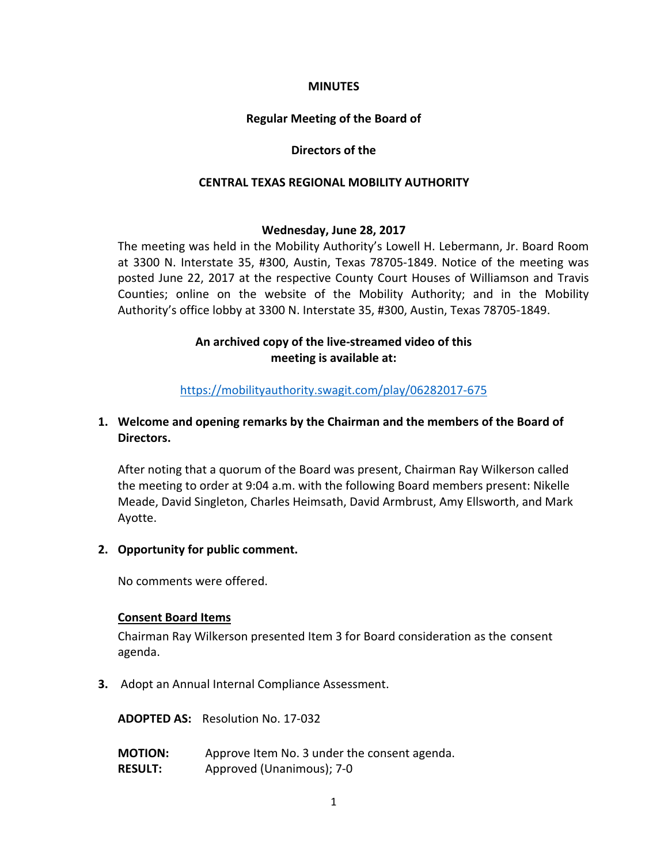### **MINUTES**

## **Regular Meeting of the Board of**

### **Directors of the**

### **CENTRAL TEXAS REGIONAL MOBILITY AUTHORITY**

#### **Wednesday, June 28, 2017**

The meeting was held in the Mobility Authority's Lowell H. Lebermann, Jr. Board Room at 3300 N. Interstate 35, #300, Austin, Texas 78705-1849. Notice of the meeting was posted June 22, 2017 at the respective County Court Houses of Williamson and Travis Counties; online on the website of the Mobility Authority; and in the Mobility Authority's office lobby at 3300 N. Interstate 35, #300, Austin, Texas 78705-1849.

# **An archived copy of the live-streamed video of this meeting is available at:**

# <https://mobilityauthority.swagit.com/play/06282017-675>

# **1. Welcome and opening remarks by the Chairman and the members of the Board of Directors.**

After noting that a quorum of the Board was present, Chairman Ray Wilkerson called the meeting to order at 9:04 a.m. with the following Board members present: Nikelle Meade, David Singleton, Charles Heimsath, David Armbrust, Amy Ellsworth, and Mark Ayotte.

## **2. Opportunity for public comment.**

No comments were offered.

## **Consent Board Items**

Chairman Ray Wilkerson presented Item 3 for Board consideration as the consent agenda.

**3.** Adopt an Annual Internal Compliance Assessment.

**ADOPTED AS:** Resolution No. 17-032

**MOTION:** Approve Item No. 3 under the consent agenda. **RESULT:** Approved (Unanimous); 7-0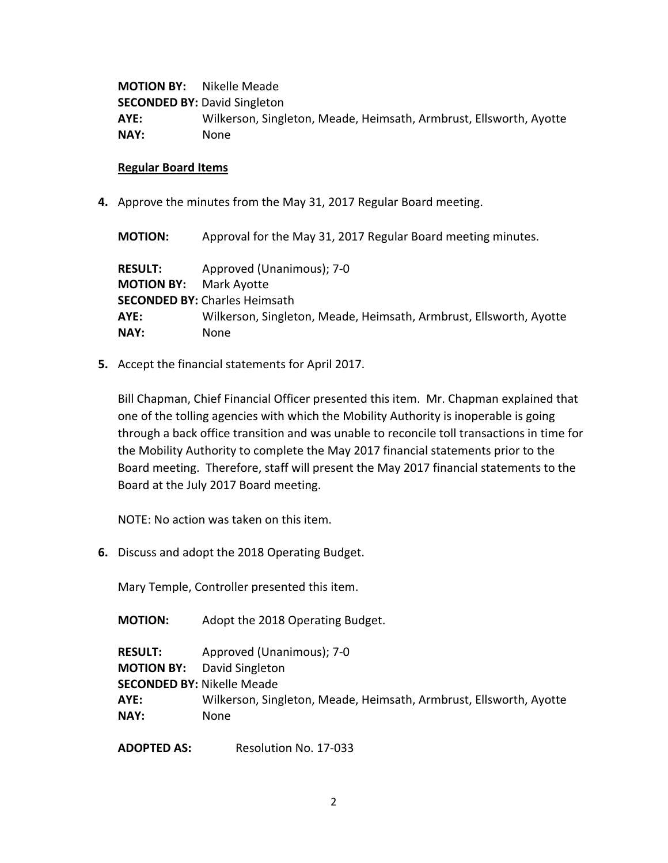**MOTION BY:** Nikelle Meade **SECONDED BY: David Singleton AYE:** Wilkerson, Singleton, Meade, Heimsath, Armbrust, Ellsworth, Ayotte **NAY:** None

#### **Regular Board Items**

**4.** Approve the minutes from the May 31, 2017 Regular Board meeting.

**MOTION:** Approval for the May 31, 2017 Regular Board meeting minutes. **RESULT:** Approved (Unanimous); 7-0 **MOTION BY:** Mark Ayotte **SECONDED BY:** Charles Heimsath **AYE:** Wilkerson, Singleton, Meade, Heimsath, Armbrust, Ellsworth, Ayotte **NAY:** None

**5.** Accept the financial statements for April 2017.

Bill Chapman, Chief Financial Officer presented this item. Mr. Chapman explained that one of the tolling agencies with which the Mobility Authority is inoperable is going through a back office transition and was unable to reconcile toll transactions in time for the Mobility Authority to complete the May 2017 financial statements prior to the Board meeting. Therefore, staff will present the May 2017 financial statements to the Board at the July 2017 Board meeting.

NOTE: No action was taken on this item.

**6.** Discuss and adopt the 2018 Operating Budget.

Mary Temple, Controller presented this item.

**MOTION:** Adopt the 2018 Operating Budget.

**RESULT:** Approved (Unanimous); 7-0 **MOTION BY:** David Singleton **SECONDED BY:** Nikelle Meade **AYE:** Wilkerson, Singleton, Meade, Heimsath, Armbrust, Ellsworth, Ayotte **NAY:** None

**ADOPTED AS:** Resolution No. 17-033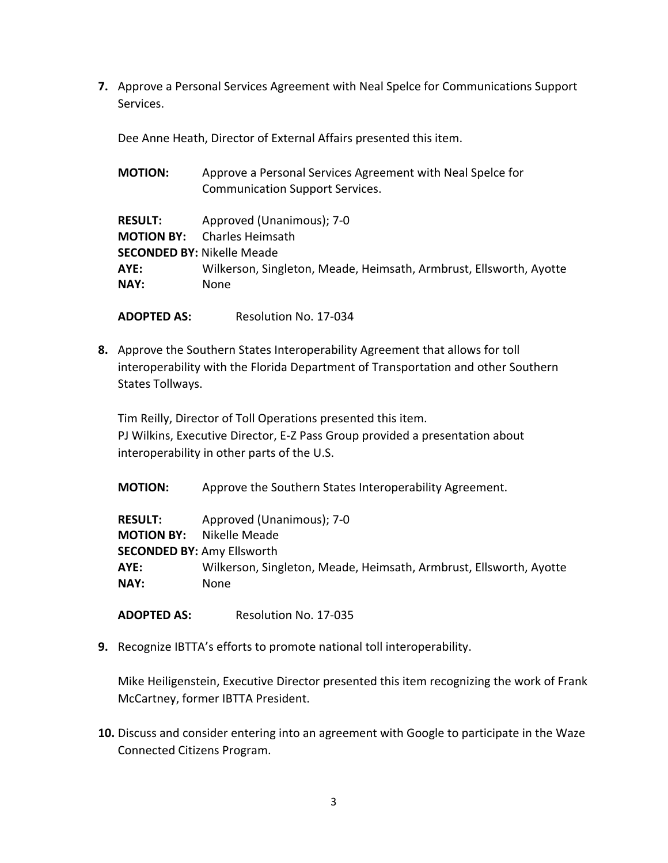**7.** Approve a Personal Services Agreement with Neal Spelce for Communications Support Services.

Dee Anne Heath, Director of External Affairs presented this item.

| <b>MOTION:</b>    | Approve a Personal Services Agreement with Neal Spelce for         |
|-------------------|--------------------------------------------------------------------|
|                   | <b>Communication Support Services.</b>                             |
| <b>RESULT:</b>    | Approved (Unanimous); 7-0                                          |
| <b>MOTION BY:</b> | Charles Heimsath                                                   |
|                   | <b>SECONDED BY: Nikelle Meade</b>                                  |
| AYE:              | Wilkerson, Singleton, Meade, Heimsath, Armbrust, Ellsworth, Ayotte |
| NAY:              | None                                                               |

**ADOPTED AS:** Resolution No. 17-034

**8.** Approve the Southern States Interoperability Agreement that allows for toll interoperability with the Florida Department of Transportation and other Southern States Tollways.

Tim Reilly, Director of Toll Operations presented this item. PJ Wilkins, Executive Director, E-Z Pass Group provided a presentation about interoperability in other parts of the U.S.

**MOTION:** Approve the Southern States Interoperability Agreement.

**RESULT:** Approved (Unanimous); 7-0 **MOTION BY:** Nikelle Meade **SECONDED BY:** Amy Ellsworth **AYE:** Wilkerson, Singleton, Meade, Heimsath, Armbrust, Ellsworth, Ayotte **NAY:** None

**ADOPTED AS:** Resolution No. 17-035

**9.** Recognize IBTTA's efforts to promote national toll interoperability.

Mike Heiligenstein, Executive Director presented this item recognizing the work of Frank McCartney, former IBTTA President.

**10.** Discuss and consider entering into an agreement with Google to participate in the Waze Connected Citizens Program.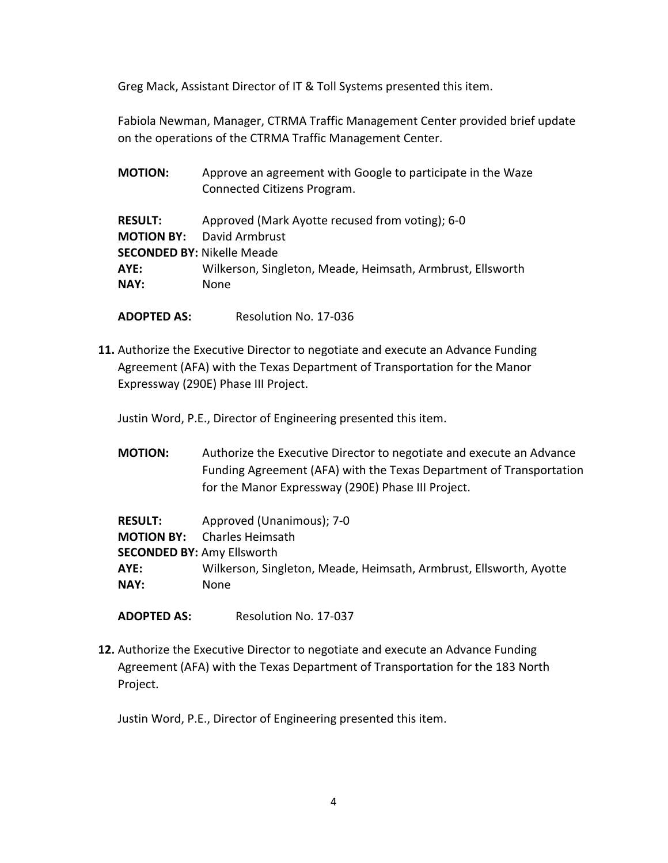Greg Mack, Assistant Director of IT & Toll Systems presented this item.

Fabiola Newman, Manager, CTRMA Traffic Management Center provided brief update on the operations of the CTRMA Traffic Management Center.

| Approve an agreement with Google to participate in the Waze<br>Connected Citizens Program. |  |  |
|--------------------------------------------------------------------------------------------|--|--|
| Approved (Mark Ayotte recused from voting); 6-0                                            |  |  |
| <b>David Armbrust</b>                                                                      |  |  |
| <b>SECONDED BY: Nikelle Meade</b>                                                          |  |  |
| Wilkerson, Singleton, Meade, Heimsath, Armbrust, Ellsworth                                 |  |  |
| None                                                                                       |  |  |
|                                                                                            |  |  |

**ADOPTED AS:** Resolution No. 17-036

**11.** Authorize the Executive Director to negotiate and execute an Advance Funding Agreement (AFA) with the Texas Department of Transportation for the Manor Expressway (290E) Phase III Project.

Justin Word, P.E., Director of Engineering presented this item.

| <b>MOTION:</b> | Authorize the Executive Director to negotiate and execute an Advance |
|----------------|----------------------------------------------------------------------|
|                | Funding Agreement (AFA) with the Texas Department of Transportation  |
|                | for the Manor Expressway (290E) Phase III Project.                   |

| <b>RESULT:</b>                    | Approved (Unanimous); 7-0                                          |
|-----------------------------------|--------------------------------------------------------------------|
| <b>MOTION BY:</b>                 | Charles Heimsath                                                   |
| <b>SECONDED BY: Amy Ellsworth</b> |                                                                    |
| AYE:                              | Wilkerson, Singleton, Meade, Heimsath, Armbrust, Ellsworth, Ayotte |
| NAY:                              | None                                                               |

**ADOPTED AS:** Resolution No. 17-037

**12.** Authorize the Executive Director to negotiate and execute an Advance Funding Agreement (AFA) with the Texas Department of Transportation for the 183 North Project.

Justin Word, P.E., Director of Engineering presented this item.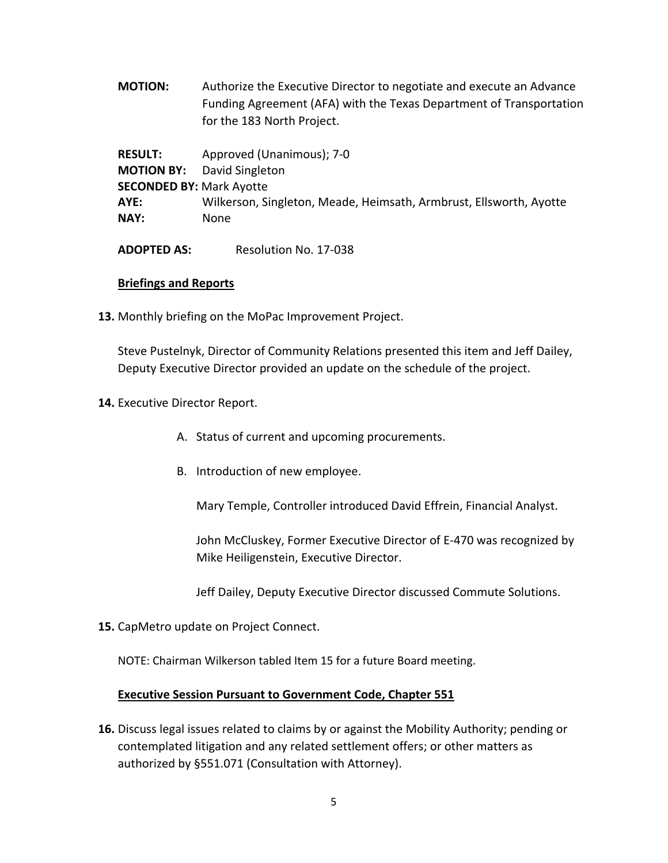**MOTION:** Authorize the Executive Director to negotiate and execute an Advance Funding Agreement (AFA) with the Texas Department of Transportation for the 183 North Project.

**RESULT:** Approved (Unanimous); 7-0 **MOTION BY:** David Singleton **SECONDED BY:** Mark Ayotte **AYE:** Wilkerson, Singleton, Meade, Heimsath, Armbrust, Ellsworth, Ayotte **NAY:** None

**ADOPTED AS:** Resolution No. 17-038

## **Briefings and Reports**

**13.** Monthly briefing on the MoPac Improvement Project.

Steve Pustelnyk, Director of Community Relations presented this item and Jeff Dailey, Deputy Executive Director provided an update on the schedule of the project.

- **14.** Executive Director Report.
	- A. Status of current and upcoming procurements.
	- B. Introduction of new employee.

Mary Temple, Controller introduced David Effrein, Financial Analyst.

John McCluskey, Former Executive Director of E-470 was recognized by Mike Heiligenstein, Executive Director.

Jeff Dailey, Deputy Executive Director discussed Commute Solutions.

**15.** CapMetro update on Project Connect.

NOTE: Chairman Wilkerson tabled Item 15 for a future Board meeting.

## **Executive Session Pursuant to Government Code, Chapter 551**

**16.** Discuss legal issues related to claims by or against the Mobility Authority; pending or contemplated litigation and any related settlement offers; or other matters as authorized by §551.071 (Consultation with Attorney).